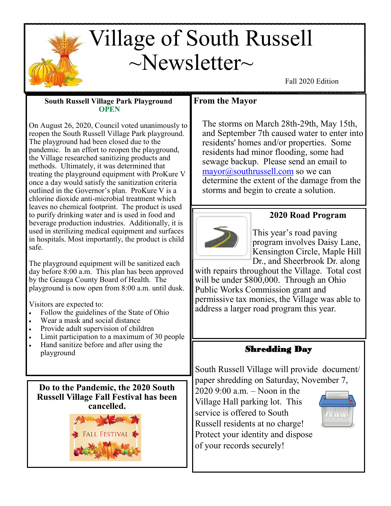# Village of South Russell  $\sim$ Newsletter $\sim$

Fall 2020 Edition

#### **South Russell Village Park Playground OPEN**

On August 26, 2020, Council voted unanimously to reopen the South Russell Village Park playground. The playground had been closed due to the pandemic. In an effort to reopen the playground, the Village researched sanitizing products and methods. Ultimately, it was determined that treating the playground equipment with ProKure V once a day would satisfy the sanitization criteria outlined in the Governor's plan. ProKure V is a chlorine dioxide anti-microbial treatment which leaves no chemical footprint. The product is used to purify drinking water and is used in food and beverage production industries. Additionally, it is used in sterilizing medical equipment and surfaces in hospitals. Most importantly, the product is child safe.

The playground equipment will be sanitized each day before 8:00 a.m. This plan has been approved by the Geauga County Board of Health. The playground is now open from 8:00 a.m. until dusk.

Visitors are expected to:

- Follow the guidelines of the State of Ohio
- Wear a mask and social distance
- Provide adult supervision of children
- Limit participation to a maximum of 30 people
- Hand sanitize before and after using the playground

**Do to the Pandemic, the 2020 South Russell Village Fall Festival has been cancelled.**



# **From the Mayor**

The storms on March 28th-29th, May 15th, and September 7th caused water to enter into residents' homes and/or properties. Some residents had minor flooding, some had sewage backup. Please send an email to [mayor@southrussell.com](mailto:mayor@southrussell.com) so we can determine the extent of the damage from the storms and begin to create a solution.



# **2020 Road Program**

This year's road paving program involves Daisy Lane, Kensington Circle, Maple Hill Dr., and Sheerbrook Dr. along

with repairs throughout the Village. Total cost will be under \$800,000. Through an Ohio Public Works Commission grant and permissive tax monies, the Village was able to address a larger road program this year.

# Shredding Day

South Russell Village will provide document/ paper shredding on Saturday, November 7,

2020 9:00 a.m. – Noon in the Village Hall parking lot. This service is offered to South Russell residents at no charge! Protect your identity and dispose of your records securely!

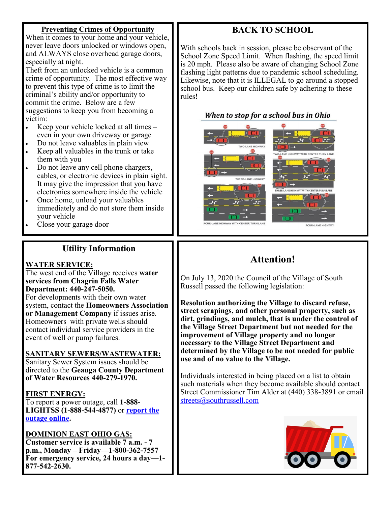#### **Preventing Crimes of Opportunity**

When it comes to your home and your vehicle, never leave doors unlocked or windows open, and ALWAYS close overhead garage doors, especially at night.

Theft from an unlocked vehicle is a common crime of opportunity. The most effective way to prevent this type of crime is to limit the criminal's ability and/or opportunity to commit the crime. Below are a few suggestions to keep you from becoming a victim:

- Keep your vehicle locked at all times  $$ even in your own driveway or garage
- Do not leave valuables in plain view
- Keep all valuables in the trunk or take them with you
- Do not leave any cell phone chargers, cables, or electronic devices in plain sight. It may give the impression that you have electronics somewhere inside the vehicle
- Once home, unload your valuables immediately and do not store them inside your vehicle
- Close your garage door

# **Utility Information**

#### **WATER SERVICE:**

The west end of the Village receives **water services from Chagrin Falls Water Department: 440-247-5050.** For developments with their own water system, contact the **Homeowners Association or Management Company** if issues arise. Homeowners with private wells should contact individual service providers in the

#### **SANITARY SEWERS/WASTEWATER:**

event of well or pump failures.

Sanitary Sewer System issues should be directed to the **Geauga County Department of Water Resources 440-279-1970.**

#### **FIRST ENERGY:**

To report a power outage, call **1-888- LIGHTSS (1-888-544-4877)** or **[report the](https://www.firstenergycorp.com/outages_help/Report_Power_Outages.html)  [outage online.](https://www.firstenergycorp.com/outages_help/Report_Power_Outages.html)**

#### **DOMINION EAST OHIO GAS:**

**Customer service is available 7 a.m. - 7 p.m., Monday – Friday—1-800-362-7557 For emergency service, 24 hours a day—1- 877-542-2630.** 

# **BACK TO SCHOOL**

With schools back in session, please be observant of the School Zone Speed Limit. When flashing, the speed limit is 20 mph. Please also be aware of changing School Zone flashing light patterns due to pandemic school scheduling. Likewise, note that it is ILLEGAL to go around a stopped school bus. Keep our children safe by adhering to these rules!





# **Attention!**

On July 13, 2020 the Council of the Village of South Russell passed the following legislation:

**Resolution authorizing the Village to discard refuse, street scrapings, and other personal property, such as dirt, grindings, and mulch, that is under the control of the Village Street Department but not needed for the improvement of Village property and no longer necessary to the Village Street Department and determined by the Village to be not needed for public use and of no value to the Village.** 

Individuals interested in being placed on a list to obtain such materials when they become available should contact Street Commissioner Tim Alder at (440) 338-3891 or email [streets@southrussell.com](mailto:streets@southrussell.com)

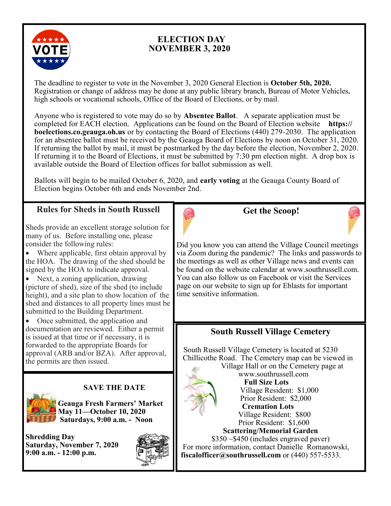

# **ELECTION DAY NOVEMBER 3, 2020**

The deadline to register to vote in the November 3, 2020 General Election is **October 5th, 2020.** Registration or change of address may be done at any public library branch, Bureau of Motor Vehicles, high schools or vocational schools, Office of the Board of Elections, or by mail.

Anyone who is registered to vote may do so by **Absentee Ballot**. A separate application must be completed for EACH election. Applications can be found on the Board of Election website **https:// boelections.co.geauga.oh.us** or by contacting the Board of Elections (440) 279-2030. The application for an absentee ballot must be received by the Geauga Board of Elections by noon on October 31, 2020. If returning the ballot by mail, it must be postmarked by the day before the election, November 2, 2020. If returning it to the Board of Elections, it must be submitted by 7:30 pm election night. A drop box is available outside the Board of Election offices for ballot submission as well.

Ballots will begin to be mailed October 6, 2020, and **early voting** at the Geauga County Board of Election begins October 6th and ends November 2nd.

# **Rules for Sheds in South Russell**

Sheds provide an excellent storage solution for many of us. Before installing one, please consider the following rules:

Where applicable, first obtain approval by the HOA. The drawing of the shed should be signed by the HOA to indicate approval.

• Next, a zoning application, drawing (picture of shed), size of the shed (to include height), and a site plan to show location of the shed and distances to all property lines must be submitted to the Building Department.

• Once submitted, the application and documentation are reviewed. Either a permit is issued at that time or if necessary, it is forwarded to the appropriate Boards for approval (ARB and/or BZA). After approval, the permits are then issued.



**Get the Scoop!**



Did you know you can attend the Village Council meetings via Zoom during the pandemic? The links and passwords to the meetings as well as other Village news and events can be found on the website calendar at www.southrussell.com. You can also follow us on Facebook or visit the Services page on our website to sign up for Eblasts for important time sensitive information.

# **South Russell Village Cemetery**

 South Russell Village Cemetery is located at 5230 Chillicothe Road. The Cemetery map can be viewed in



Village Hall or on the Cemetery page at www.southrussell.com **Full Size Lots** Village Resident: \$1,000 Prior Resident: \$2,000  **Cremation Lots** Village Resident: \$800 Prior Resident: \$1,600

 **Scattering/Memorial Garden** \$350 ~\$450 (includes engraved paver)

 For more information, contact Danielle Romanowski, **fiscalofficer@southrussell.com** or (440) 557-5533.



#### **SAVE THE DATE**

**Geauga Fresh Farmers' Market May 11—October 10, 2020 Saturdays, 9:00 a.m. - Noon**

**Shredding Day Saturday, November 7, 2020 9:00 a.m. - 12:00 p.m.**